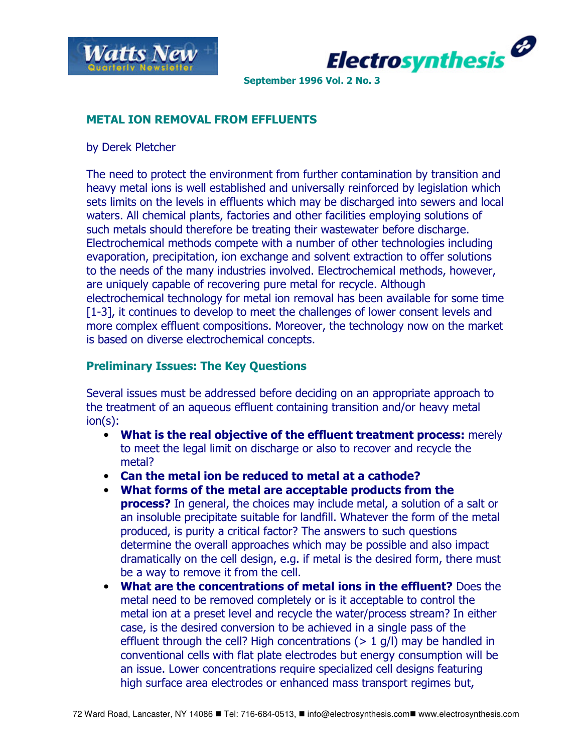



### METAL ION REMOVAL FROM EFFLUENTS

by Derek Pletcher

The need to protect the environment from further contamination by transition and heavy metal ions is well established and universally reinforced by legislation which sets limits on the levels in effluents which may be discharged into sewers and local waters. All chemical plants, factories and other facilities employing solutions of such metals should therefore be treating their wastewater before discharge. Electrochemical methods compete with a number of other technologies including evaporation, precipitation, ion exchange and solvent extraction to offer solutions to the needs of the many industries involved. Electrochemical methods, however, are uniquely capable of recovering pure metal for recycle. Although electrochemical technology for metal ion removal has been available for some time [1-3], it continues to develop to meet the challenges of lower consent levels and more complex effluent compositions. Moreover, the technology now on the market is based on diverse electrochemical concepts.

### Preliminary Issues: The Key Questions

Several issues must be addressed before deciding on an appropriate approach to the treatment of an aqueous effluent containing transition and/or heavy metal ion(s):

- What is the real objective of the effluent treatment process: merely to meet the legal limit on discharge or also to recover and recycle the metal?
- Can the metal ion be reduced to metal at a cathode?
- What forms of the metal are acceptable products from the **process?** In general, the choices may include metal, a solution of a salt or an insoluble precipitate suitable for landfill. Whatever the form of the metal produced, is purity a critical factor? The answers to such questions determine the overall approaches which may be possible and also impact dramatically on the cell design, e.g. if metal is the desired form, there must be a way to remove it from the cell.
- What are the concentrations of metal ions in the effluent? Does the metal need to be removed completely or is it acceptable to control the metal ion at a preset level and recycle the water/process stream? In either case, is the desired conversion to be achieved in a single pass of the effluent through the cell? High concentrations  $(> 1$  g/l) may be handled in conventional cells with flat plate electrodes but energy consumption will be an issue. Lower concentrations require specialized cell designs featuring high surface area electrodes or enhanced mass transport regimes but,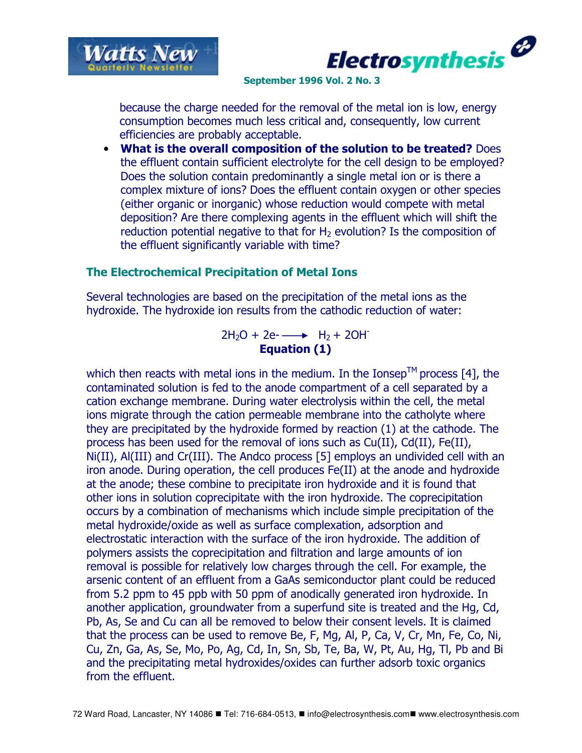



because the charge needed for the removal of the metal ion is low, energy consumption becomes much less critical and, consequently, low current efficiencies are probably acceptable.

• What is the overall composition of the solution to be treated? Does the effluent contain sufficient electrolyte for the cell design to be employed? Does the solution contain predominantly a single metal ion or is there a complex mixture of ions? Does the effluent contain oxygen or other species (either organic or inorganic) whose reduction would compete with metal deposition? Are there complexing agents in the effluent which will shift the reduction potential negative to that for  $H<sub>2</sub>$  evolution? Is the composition of the effluent significantly variable with time?

## The Electrochemical Precipitation of Metal Ions

Several technologies are based on the precipitation of the metal ions as the hydroxide. The hydroxide ion results from the cathodic reduction of water:

> $2H_2O + 2e$ - $\longrightarrow$   $H_2 + 2OH$ Equation (1)

which then reacts with metal ions in the medium. In the Ionsep<sup>TM</sup> process [4], the contaminated solution is fed to the anode compartment of a cell separated by a cation exchange membrane. During water electrolysis within the cell, the metal ions migrate through the cation permeable membrane into the catholyte where they are precipitated by the hydroxide formed by reaction (1) at the cathode. The process has been used for the removal of ions such as Cu(II), Cd(II), Fe(II), Ni(II), Al(III) and Cr(III). The Andco process [5] employs an undivided cell with an iron anode. During operation, the cell produces Fe(II) at the anode and hydroxide at the anode; these combine to precipitate iron hydroxide and it is found that other ions in solution coprecipitate with the iron hydroxide. The coprecipitation occurs by a combination of mechanisms which include simple precipitation of the metal hydroxide/oxide as well as surface complexation, adsorption and electrostatic interaction with the surface of the iron hydroxide. The addition of polymers assists the coprecipitation and filtration and large amounts of ion removal is possible for relatively low charges through the cell. For example, the arsenic content of an effluent from a GaAs semiconductor plant could be reduced from 5.2 ppm to 45 ppb with 50 ppm of anodically generated iron hydroxide. In another application, groundwater from a superfund site is treated and the Hg, Cd, Pb, As, Se and Cu can all be removed to below their consent levels. It is claimed that the process can be used to remove Be, F, Mg, Al, P, Ca, V, Cr, Mn, Fe, Co, Ni, Cu, Zn, Ga, As, Se, Mo, Po, Ag, Cd, In, Sn, Sb, Te, Ba, W, Pt, Au, Hg, Tl, Pb and Bi and the precipitating metal hydroxides/oxides can further adsorb toxic organics from the effluent.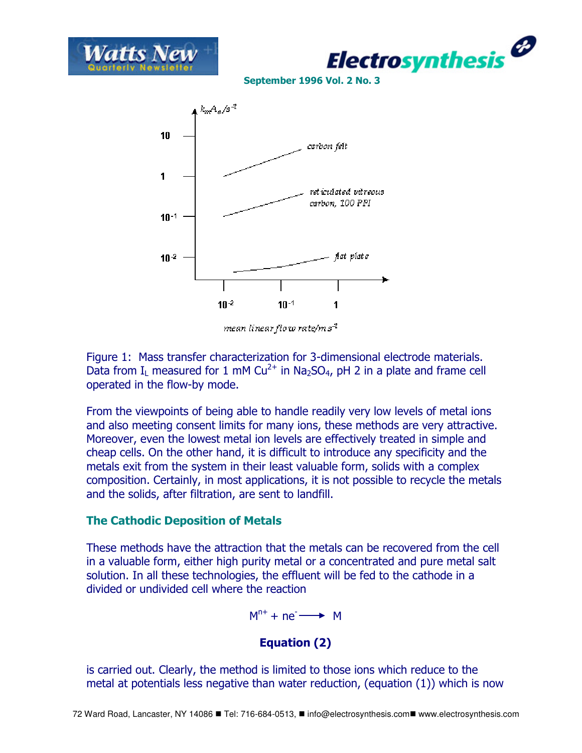





mean linear flow rate/m s<sup>-1</sup>

Figure 1: Mass transfer characterization for 3-dimensional electrode materials. Data from I<sub>L</sub> measured for 1 mM Cu<sup>2+</sup> in Na<sub>2</sub>SO<sub>4</sub>, pH 2 in a plate and frame cell operated in the flow-by mode.

From the viewpoints of being able to handle readily very low levels of metal ions and also meeting consent limits for many ions, these methods are very attractive. Moreover, even the lowest metal ion levels are effectively treated in simple and cheap cells. On the other hand, it is difficult to introduce any specificity and the metals exit from the system in their least valuable form, solids with a complex composition. Certainly, in most applications, it is not possible to recycle the metals and the solids, after filtration, are sent to landfill.

## The Cathodic Deposition of Metals

These methods have the attraction that the metals can be recovered from the cell in a valuable form, either high purity metal or a concentrated and pure metal salt solution. In all these technologies, the effluent will be fed to the cathode in a divided or undivided cell where the reaction

 $M^{n+} + ne^- \longrightarrow M$ 

# Equation (2)

is carried out. Clearly, the method is limited to those ions which reduce to the metal at potentials less negative than water reduction, (equation (1)) which is now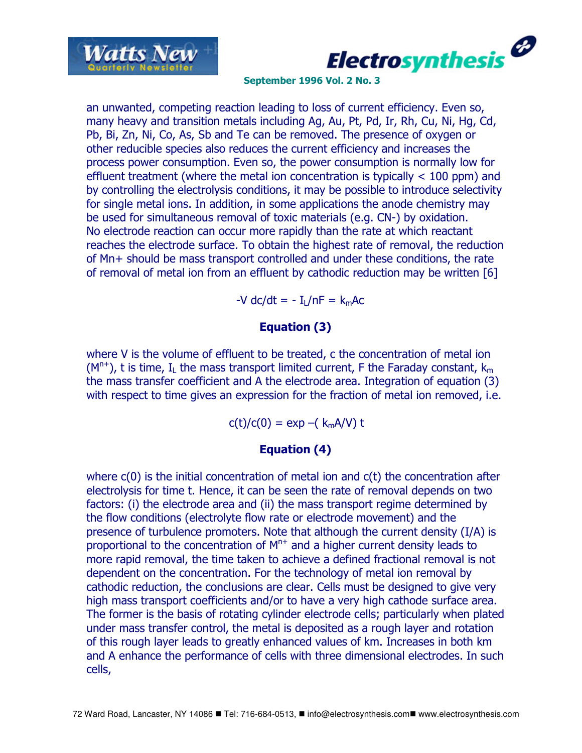



an unwanted, competing reaction leading to loss of current efficiency. Even so, many heavy and transition metals including Ag, Au, Pt, Pd, Ir, Rh, Cu, Ni, Hg, Cd, Pb, Bi, Zn, Ni, Co, As, Sb and Te can be removed. The presence of oxygen or other reducible species also reduces the current efficiency and increases the process power consumption. Even so, the power consumption is normally low for effluent treatment (where the metal ion concentration is typically < 100 ppm) and by controlling the electrolysis conditions, it may be possible to introduce selectivity for single metal ions. In addition, in some applications the anode chemistry may be used for simultaneous removal of toxic materials (e.g. CN-) by oxidation. No electrode reaction can occur more rapidly than the rate at which reactant reaches the electrode surface. To obtain the highest rate of removal, the reduction of Mn+ should be mass transport controlled and under these conditions, the rate of removal of metal ion from an effluent by cathodic reduction may be written [6]

 $-V$  dc/dt =  $-I<sub>1</sub>/nF = k<sub>m</sub>Ac$ 

### Equation (3)

where V is the volume of effluent to be treated, c the concentration of metal ion  $(M<sup>n+</sup>)$ , t is time, I<sub>1</sub> the mass transport limited current, F the Faraday constant,  $k<sub>m</sub>$ the mass transfer coefficient and A the electrode area. Integration of equation (3) with respect to time gives an expression for the fraction of metal ion removed, i.e.

 $c(t)/c(0) = \exp -(k_m A/V) t$ 

## Equation (4)

where c(0) is the initial concentration of metal ion and c(t) the concentration after electrolysis for time t. Hence, it can be seen the rate of removal depends on two factors: (i) the electrode area and (ii) the mass transport regime determined by the flow conditions (electrolyte flow rate or electrode movement) and the presence of turbulence promoters. Note that although the current density (I/A) is proportional to the concentration of  $M<sup>n+</sup>$  and a higher current density leads to more rapid removal, the time taken to achieve a defined fractional removal is not dependent on the concentration. For the technology of metal ion removal by cathodic reduction, the conclusions are clear. Cells must be designed to give very high mass transport coefficients and/or to have a very high cathode surface area. The former is the basis of rotating cylinder electrode cells; particularly when plated under mass transfer control, the metal is deposited as a rough layer and rotation of this rough layer leads to greatly enhanced values of km. Increases in both km and A enhance the performance of cells with three dimensional electrodes. In such cells,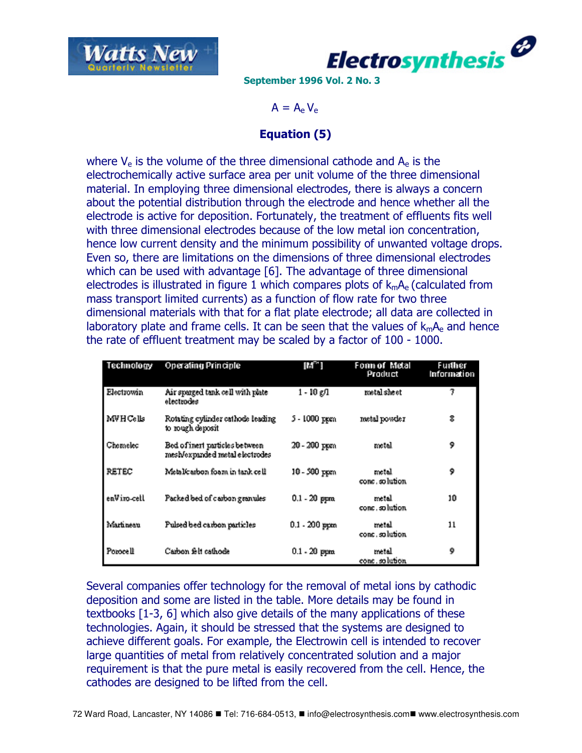



 $A = A_{\rm e} V_{\rm e}$ 

### Equation (5)

where  $V_e$  is the volume of the three dimensional cathode and  $A_e$  is the electrochemically active surface area per unit volume of the three dimensional material. In employing three dimensional electrodes, there is always a concern about the potential distribution through the electrode and hence whether all the electrode is active for deposition. Fortunately, the treatment of effluents fits well with three dimensional electrodes because of the low metal ion concentration, hence low current density and the minimum possibility of unwanted voltage drops. Even so, there are limitations on the dimensions of three dimensional electrodes which can be used with advantage [6]. The advantage of three dimensional electrodes is illustrated in figure 1 which compares plots of  $k_{m}A_{e}$  (calculated from mass transport limited currents) as a function of flow rate for two three dimensional materials with that for a flat plate electrode; all data are collected in laboratory plate and frame cells. It can be seen that the values of  $k_{m}A_{e}$  and hence the rate of effluent treatment may be scaled by a factor of 100 - 1000.

| Technology  | <b>Operating Principle</b>                                       | $[M^{\sim}]$    | Fonn of Metal<br>Product | Further<br>Information |
|-------------|------------------------------------------------------------------|-----------------|--------------------------|------------------------|
| Electrowin  | Air sparged tank cell with plate<br>electrodes                   | 1 - 10 g/1      | metal sheet              | 7                      |
| MVHCells    | Rotating cylinder cathode leading<br>to rough deposit            | 5 - 1000 ppen.  | metal powder             | 8                      |
| Chemelec    | Bed of inert particles between<br>mesh/expanded metal electrodes | 20 - 200 ppm    | metal                    | 9                      |
| RETEC       | Metalicarbon foam in tank cell                                   | 10 - 500 ppm    | metal<br>conc.solution.  | 9                      |
| enViro-cell | Packed bed of carbon granules                                    | $0.1 - 20$ ppm. | metal<br>conc.solution.  | 10                     |
| Martineau   | Pulsed bed carbon particles                                      | $0.1 - 200$ ppm | metal<br>conc.solution   | 11                     |
| Porocell    | Carbon felt cathode                                              | $0.1 - 20$ ppm. | metal<br>conc.solution   | 9                      |

Several companies offer technology for the removal of metal ions by cathodic deposition and some are listed in the table. More details may be found in textbooks [1-3, 6] which also give details of the many applications of these technologies. Again, it should be stressed that the systems are designed to achieve different goals. For example, the Electrowin cell is intended to recover large quantities of metal from relatively concentrated solution and a major requirement is that the pure metal is easily recovered from the cell. Hence, the cathodes are designed to be lifted from the cell.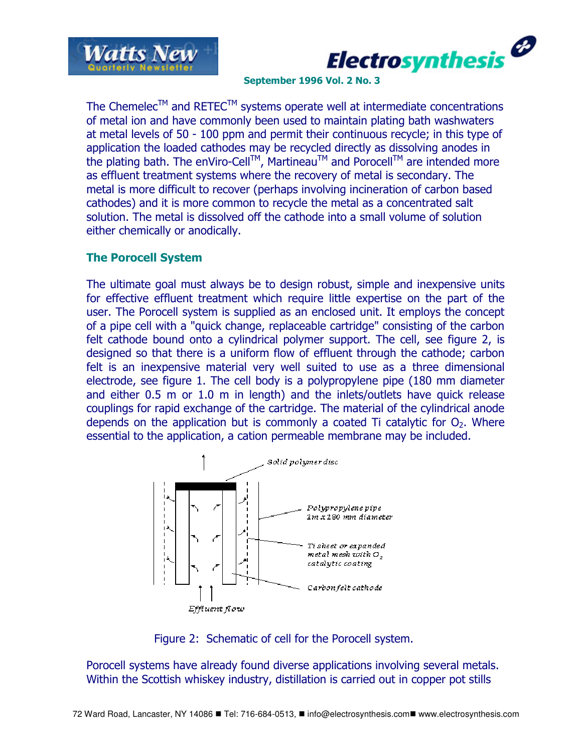



The Chemelec<sup>TM</sup> and RETEC<sup>TM</sup> systems operate well at intermediate concentrations of metal ion and have commonly been used to maintain plating bath washwaters at metal levels of 50 - 100 ppm and permit their continuous recycle; in this type of application the loaded cathodes may be recycled directly as dissolving anodes in the plating bath. The enViro-Cell<sup>TM</sup>, Martineau<sup>TM</sup> and Porocell<sup>TM</sup> are intended more as effluent treatment systems where the recovery of metal is secondary. The metal is more difficult to recover (perhaps involving incineration of carbon based cathodes) and it is more common to recycle the metal as a concentrated salt solution. The metal is dissolved off the cathode into a small volume of solution either chemically or anodically.

### The Porocell System

The ultimate goal must always be to design robust, simple and inexpensive units for effective effluent treatment which require little expertise on the part of the user. The Porocell system is supplied as an enclosed unit. It employs the concept of a pipe cell with a "quick change, replaceable cartridge" consisting of the carbon felt cathode bound onto a cylindrical polymer support. The cell, see figure 2, is designed so that there is a uniform flow of effluent through the cathode; carbon felt is an inexpensive material very well suited to use as a three dimensional electrode, see figure 1. The cell body is a polypropylene pipe (180 mm diameter and either 0.5 m or 1.0 m in length) and the inlets/outlets have quick release couplings for rapid exchange of the cartridge. The material of the cylindrical anode depends on the application but is commonly a coated Ti catalytic for  $O<sub>2</sub>$ . Where essential to the application, a cation permeable membrane may be included.



Figure 2: Schematic of cell for the Porocell system.

Porocell systems have already found diverse applications involving several metals. Within the Scottish whiskey industry, distillation is carried out in copper pot stills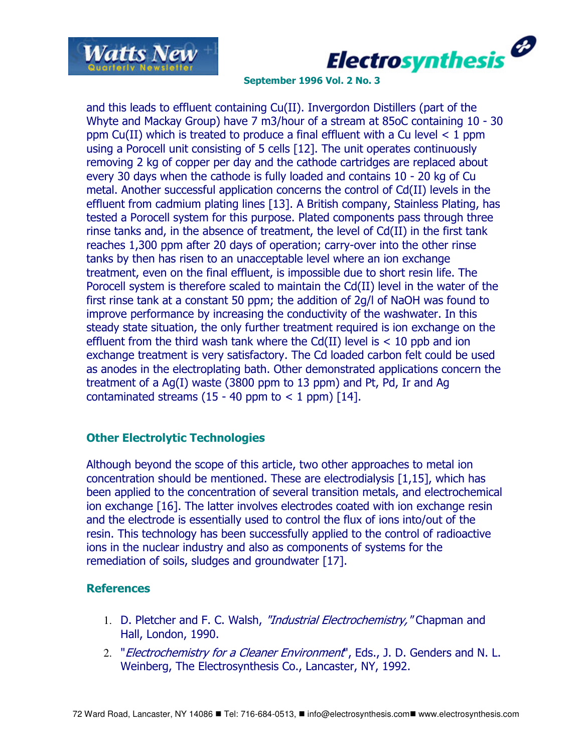



and this leads to effluent containing Cu(II). Invergordon Distillers (part of the Whyte and Mackay Group) have 7 m3/hour of a stream at 85oC containing 10 - 30 ppm Cu(II) which is treated to produce a final effluent with a Cu level  $\lt 1$  ppm using a Porocell unit consisting of 5 cells [12]. The unit operates continuously removing 2 kg of copper per day and the cathode cartridges are replaced about every 30 days when the cathode is fully loaded and contains 10 - 20 kg of Cu metal. Another successful application concerns the control of Cd(II) levels in the effluent from cadmium plating lines [13]. A British company, Stainless Plating, has tested a Porocell system for this purpose. Plated components pass through three rinse tanks and, in the absence of treatment, the level of Cd(II) in the first tank reaches 1,300 ppm after 20 days of operation; carry-over into the other rinse tanks by then has risen to an unacceptable level where an ion exchange treatment, even on the final effluent, is impossible due to short resin life. The Porocell system is therefore scaled to maintain the Cd(II) level in the water of the first rinse tank at a constant 50 ppm; the addition of 2g/l of NaOH was found to improve performance by increasing the conductivity of the washwater. In this steady state situation, the only further treatment required is ion exchange on the effluent from the third wash tank where the  $Cd(II)$  level is  $< 10$  ppb and ion exchange treatment is very satisfactory. The Cd loaded carbon felt could be used as anodes in the electroplating bath. Other demonstrated applications concern the treatment of a Ag(I) waste (3800 ppm to 13 ppm) and Pt, Pd, Ir and Ag contaminated streams (15 - 40 ppm to  $<$  1 ppm) [14].

## Other Electrolytic Technologies

Although beyond the scope of this article, two other approaches to metal ion concentration should be mentioned. These are electrodialysis [1,15], which has been applied to the concentration of several transition metals, and electrochemical ion exchange [16]. The latter involves electrodes coated with ion exchange resin and the electrode is essentially used to control the flux of ions into/out of the resin. This technology has been successfully applied to the control of radioactive ions in the nuclear industry and also as components of systems for the remediation of soils, sludges and groundwater [17].

#### **References**

- 1. D. Pletcher and F. C. Walsh, "Industrial Electrochemistry," Chapman and Hall, London, 1990.
- 2. "*Electrochemistry for a Cleaner Environment*", Eds., J. D. Genders and N. L. Weinberg, The Electrosynthesis Co., Lancaster, NY, 1992.